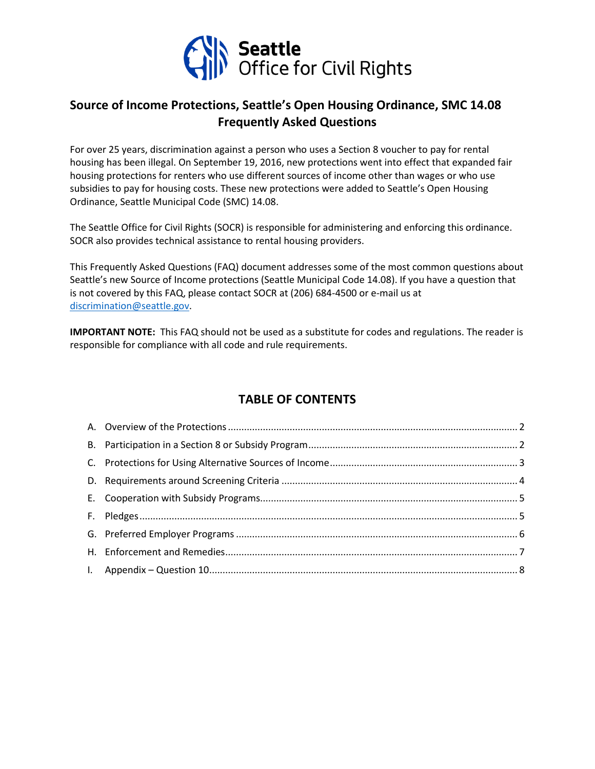

# **Source of Income Protections, Seattle's Open Housing Ordinance, SMC 14.08 Frequently Asked Questions**

For over 25 years, discrimination against a person who uses a Section 8 voucher to pay for rental housing has been illegal. On September 19, 2016, new protections went into effect that expanded fair housing protections for renters who use different sources of income other than wages or who use subsidies to pay for housing costs. These new protections were added to Seattle's Open Housing Ordinance, Seattle Municipal Code (SMC) 14.08.

The Seattle Office for Civil Rights (SOCR) is responsible for administering and enforcing this ordinance. SOCR also provides technical assistance to rental housing providers.

This Frequently Asked Questions (FAQ) document addresses some of the most common questions about Seattle's new Source of Income protections (Seattle Municipal Code 14.08). If you have a question that is not covered by this FAQ, please contact SOCR at (206) 684-4500 or e-mail us at [discrimination@seattle.gov.](mailto:discrimination@seattle.gov)

**IMPORTANT NOTE:** This FAQ should not be used as a substitute for codes and regulations. The reader is responsible for compliance with all code and rule requirements.

# **TABLE OF CONTENTS**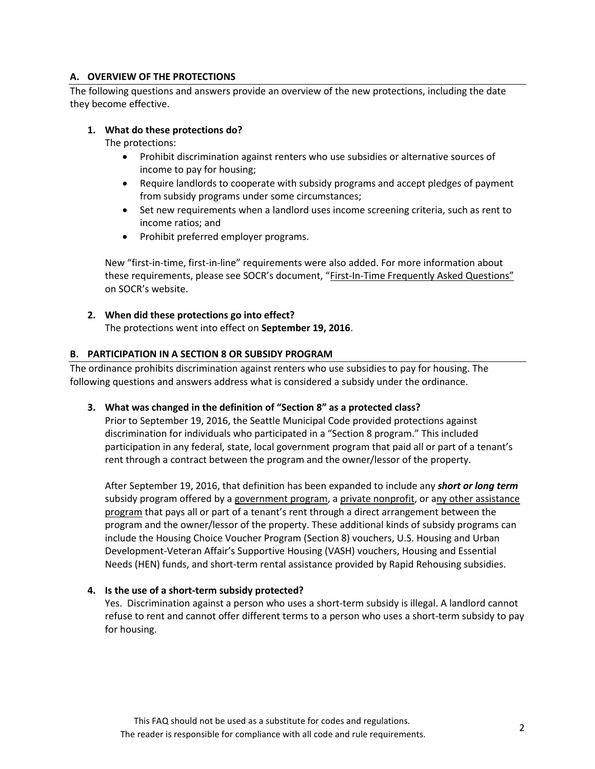# **A. OVERVIEW OF THE PROTECTIONS**

The following questions and answers provide an overview of the new protections, including the date they become effective.

#### **1. What do these protections do?**

The protections:

- Prohibit discrimination against renters who use subsidies or alternative sources of income to pay for housing;
- Require landlords to cooperate with subsidy programs and accept pledges of payment from subsidy programs under some circumstances;
- Set new requirements when a landlord uses income screening criteria, such as rent to income ratios; and
- Prohibit preferred employer programs.

New "first-in-time, first-in-line" requirements were also added. For more information about these requirements, please see SOCR's document, "First-In-Time Frequently Asked Questions" on SOCR's website.

# **2. When did these protections go into effect?**

The protections went into effect on **September 19, 2016**.

#### **B. PARTICIPATION IN A SECTION 8 OR SUBSIDY PROGRAM**

The ordinance prohibits discrimination against renters who use subsidies to pay for housing. The following questions and answers address what is considered a subsidy under the ordinance.

#### **3. What was changed in the definition of "Section 8" as a protected class?**

Prior to September 19, 2016, the Seattle Municipal Code provided protections against discrimination for individuals who participated in a "Section 8 program." This included participation in any federal, state, local government program that paid all or part of a tenant's rent through a contract between the program and the owner/lessor of the property.

After September 19, 2016, that definition has been expanded to include any *short or long term* subsidy program offered by a government program, a private nonprofit, or any other assistance program that pays all or part of a tenant's rent through a direct arrangement between the program and the owner/lessor of the property. These additional kinds of subsidy programs can include the Housing Choice Voucher Program (Section 8) vouchers, U.S. Housing and Urban Development-Veteran Affair's Supportive Housing (VASH) vouchers, Housing and Essential Needs (HEN) funds, and short-term rental assistance provided by Rapid Rehousing subsidies.

## **4. Is the use of a short-term subsidy protected?**

Yes. Discrimination against a person who uses a short-term subsidy is illegal. A landlord cannot refuse to rent and cannot offer different terms to a person who uses a short-term subsidy to pay for housing.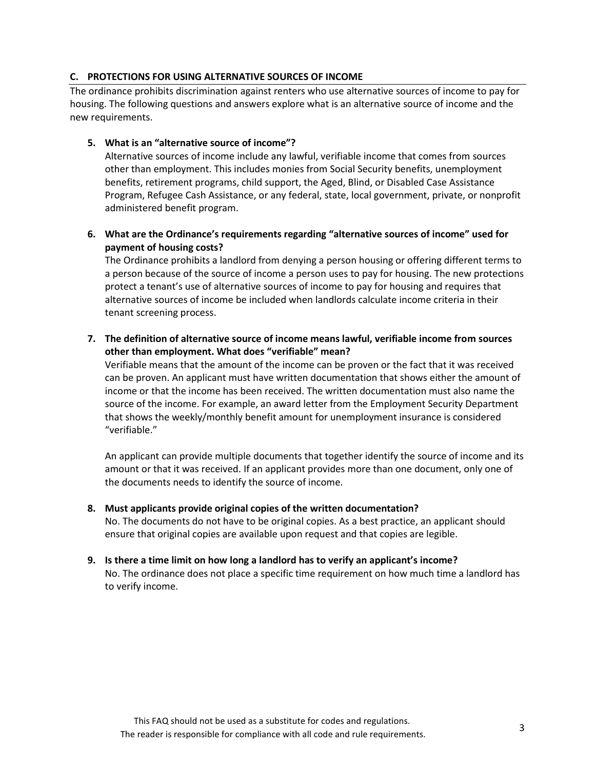## **C. PROTECTIONS FOR USING ALTERNATIVE SOURCES OF INCOME**

The ordinance prohibits discrimination against renters who use alternative sources of income to pay for housing. The following questions and answers explore what is an alternative source of income and the new requirements.

## **5. What is an "alternative source of income"?**

Alternative sources of income include any lawful, verifiable income that comes from sources other than employment. This includes monies from Social Security benefits, unemployment benefits, retirement programs, child support, the Aged, Blind, or Disabled Case Assistance Program, Refugee Cash Assistance, or any federal, state, local government, private, or nonprofit administered benefit program.

# **6. What are the Ordinance's requirements regarding "alternative sources of income" used for payment of housing costs?**

The Ordinance prohibits a landlord from denying a person housing or offering different terms to a person because of the source of income a person uses to pay for housing. The new protections protect a tenant's use of alternative sources of income to pay for housing and requires that alternative sources of income be included when landlords calculate income criteria in their tenant screening process.

# **7. The definition of alternative source of income means lawful, verifiable income from sources other than employment. What does "verifiable" mean?**

Verifiable means that the amount of the income can be proven or the fact that it was received can be proven. An applicant must have written documentation that shows either the amount of income or that the income has been received. The written documentation must also name the source of the income. For example, an award letter from the Employment Security Department that shows the weekly/monthly benefit amount for unemployment insurance is considered "verifiable."

An applicant can provide multiple documents that together identify the source of income and its amount or that it was received. If an applicant provides more than one document, only one of the documents needs to identify the source of income.

# **8. Must applicants provide original copies of the written documentation?**

No. The documents do not have to be original copies. As a best practice, an applicant should ensure that original copies are available upon request and that copies are legible.

# **9. Is there a time limit on how long a landlord has to verify an applicant's income?** No. The ordinance does not place a specific time requirement on how much time a landlord has to verify income.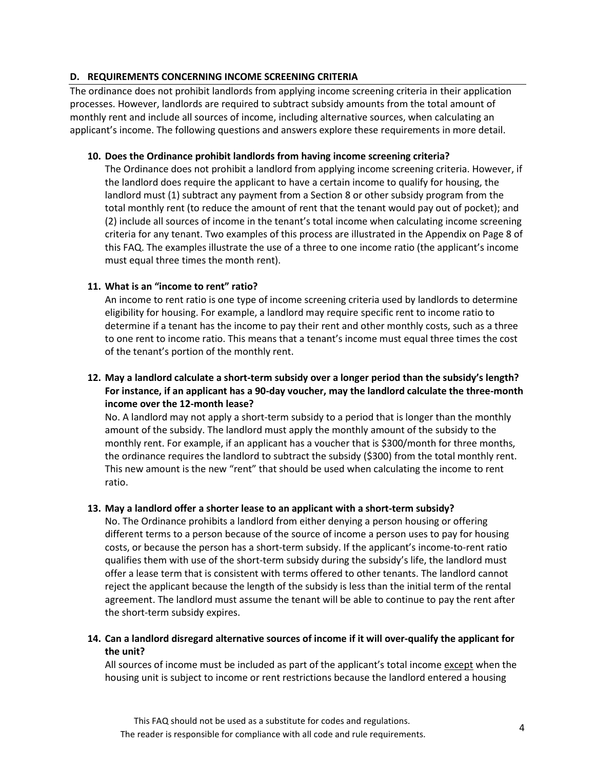# **D. REQUIREMENTS CONCERNING INCOME SCREENING CRITERIA**

The ordinance does not prohibit landlords from applying income screening criteria in their application processes. However, landlords are required to subtract subsidy amounts from the total amount of monthly rent and include all sources of income, including alternative sources, when calculating an applicant's income. The following questions and answers explore these requirements in more detail.

#### **10. Does the Ordinance prohibit landlords from having income screening criteria?**

The Ordinance does not prohibit a landlord from applying income screening criteria. However, if the landlord does require the applicant to have a certain income to qualify for housing, the landlord must (1) subtract any payment from a Section 8 or other subsidy program from the total monthly rent (to reduce the amount of rent that the tenant would pay out of pocket); and (2) include all sources of income in the tenant's total income when calculating income screening criteria for any tenant. Two examples of this process are illustrated in the Appendix on Page 8 of this FAQ. The examples illustrate the use of a three to one income ratio (the applicant's income must equal three times the month rent).

# **11. What is an "income to rent" ratio?**

An income to rent ratio is one type of income screening criteria used by landlords to determine eligibility for housing. For example, a landlord may require specific rent to income ratio to determine if a tenant has the income to pay their rent and other monthly costs, such as a three to one rent to income ratio. This means that a tenant's income must equal three times the cost of the tenant's portion of the monthly rent.

# **12. May a landlord calculate a short-term subsidy over a longer period than the subsidy's length? For instance, if an applicant has a 90-day voucher, may the landlord calculate the three-month income over the 12-month lease?**

No. A landlord may not apply a short-term subsidy to a period that is longer than the monthly amount of the subsidy. The landlord must apply the monthly amount of the subsidy to the monthly rent. For example, if an applicant has a voucher that is \$300/month for three months, the ordinance requires the landlord to subtract the subsidy (\$300) from the total monthly rent. This new amount is the new "rent" that should be used when calculating the income to rent ratio.

#### **13. May a landlord offer a shorter lease to an applicant with a short-term subsidy?**

No. The Ordinance prohibits a landlord from either denying a person housing or offering different terms to a person because of the source of income a person uses to pay for housing costs, or because the person has a short-term subsidy. If the applicant's income-to-rent ratio qualifies them with use of the short-term subsidy during the subsidy's life, the landlord must offer a lease term that is consistent with terms offered to other tenants. The landlord cannot reject the applicant because the length of the subsidy is less than the initial term of the rental agreement. The landlord must assume the tenant will be able to continue to pay the rent after the short-term subsidy expires.

# **14. Can a landlord disregard alternative sources of income if it will over-qualify the applicant for the unit?**

All sources of income must be included as part of the applicant's total income except when the housing unit is subject to income or rent restrictions because the landlord entered a housing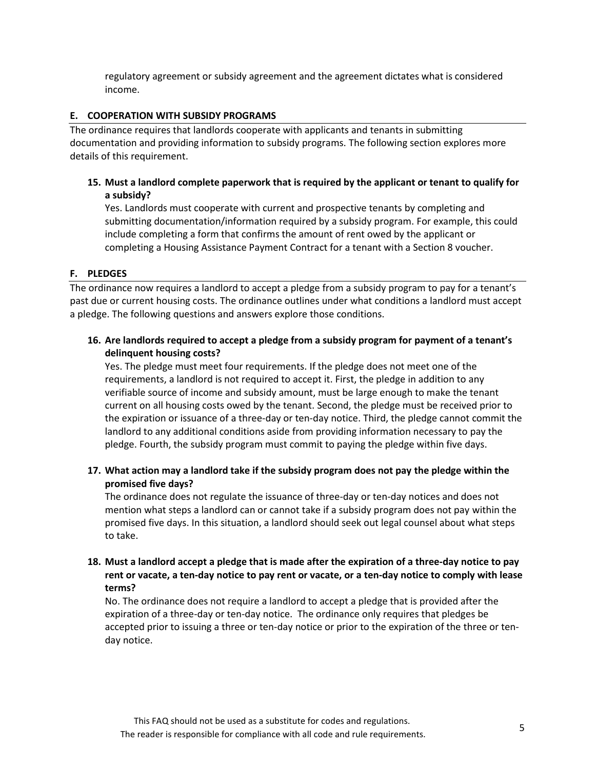regulatory agreement or subsidy agreement and the agreement dictates what is considered income.

#### **E. COOPERATION WITH SUBSIDY PROGRAMS**

The ordinance requires that landlords cooperate with applicants and tenants in submitting documentation and providing information to subsidy programs. The following section explores more details of this requirement.

# **15. Must a landlord complete paperwork that is required by the applicant or tenant to qualify for a subsidy?**

Yes. Landlords must cooperate with current and prospective tenants by completing and submitting documentation/information required by a subsidy program. For example, this could include completing a form that confirms the amount of rent owed by the applicant or completing a Housing Assistance Payment Contract for a tenant with a Section 8 voucher.

# **F. PLEDGES**

The ordinance now requires a landlord to accept a pledge from a subsidy program to pay for a tenant's past due or current housing costs. The ordinance outlines under what conditions a landlord must accept a pledge. The following questions and answers explore those conditions.

# **16. Are landlords required to accept a pledge from a subsidy program for payment of a tenant's delinquent housing costs?**

Yes. The pledge must meet four requirements. If the pledge does not meet one of the requirements, a landlord is not required to accept it. First, the pledge in addition to any verifiable source of income and subsidy amount, must be large enough to make the tenant current on all housing costs owed by the tenant. Second, the pledge must be received prior to the expiration or issuance of a three-day or ten-day notice. Third, the pledge cannot commit the landlord to any additional conditions aside from providing information necessary to pay the pledge. Fourth, the subsidy program must commit to paying the pledge within five days.

# **17. What action may a landlord take if the subsidy program does not pay the pledge within the promised five days?**

The ordinance does not regulate the issuance of three-day or ten-day notices and does not mention what steps a landlord can or cannot take if a subsidy program does not pay within the promised five days. In this situation, a landlord should seek out legal counsel about what steps to take.

# **18. Must a landlord accept a pledge that is made after the expiration of a three-day notice to pay rent or vacate, a ten-day notice to pay rent or vacate, or a ten-day notice to comply with lease terms?**

No. The ordinance does not require a landlord to accept a pledge that is provided after the expiration of a three-day or ten-day notice. The ordinance only requires that pledges be accepted prior to issuing a three or ten-day notice or prior to the expiration of the three or tenday notice.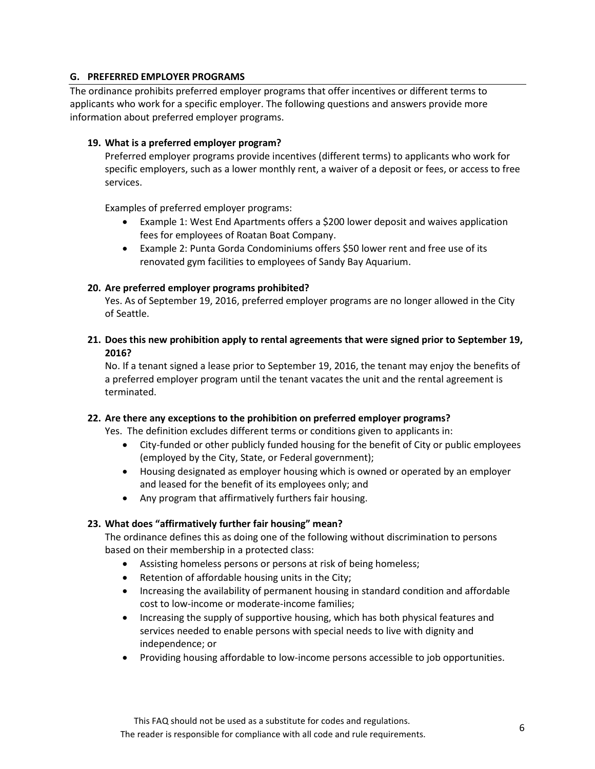# **G. PREFERRED EMPLOYER PROGRAMS**

The ordinance prohibits preferred employer programs that offer incentives or different terms to applicants who work for a specific employer. The following questions and answers provide more information about preferred employer programs.

## **19. What is a preferred employer program?**

Preferred employer programs provide incentives (different terms) to applicants who work for specific employers, such as a lower monthly rent, a waiver of a deposit or fees, or access to free services.

Examples of preferred employer programs:

- Example 1: West End Apartments offers a \$200 lower deposit and waives application fees for employees of Roatan Boat Company.
- Example 2: Punta Gorda Condominiums offers \$50 lower rent and free use of its renovated gym facilities to employees of Sandy Bay Aquarium.

# **20. Are preferred employer programs prohibited?**

Yes. As of September 19, 2016, preferred employer programs are no longer allowed in the City of Seattle.

**21. Does this new prohibition apply to rental agreements that were signed prior to September 19, 2016?**

No. If a tenant signed a lease prior to September 19, 2016, the tenant may enjoy the benefits of a preferred employer program until the tenant vacates the unit and the rental agreement is terminated.

# **22. Are there any exceptions to the prohibition on preferred employer programs?**

Yes. The definition excludes different terms or conditions given to applicants in:

- City-funded or other publicly funded housing for the benefit of City or public employees (employed by the City, State, or Federal government);
- Housing designated as employer housing which is owned or operated by an employer and leased for the benefit of its employees only; and
- Any program that affirmatively furthers fair housing.

# **23. What does "affirmatively further fair housing" mean?**

The ordinance defines this as doing one of the following without discrimination to persons based on their membership in a protected class:

- Assisting homeless persons or persons at risk of being homeless;
- Retention of affordable housing units in the City;
- Increasing the availability of permanent housing in standard condition and affordable cost to low-income or moderate-income families;
- Increasing the supply of supportive housing, which has both physical features and services needed to enable persons with special needs to live with dignity and independence; or
- Providing housing affordable to low-income persons accessible to job opportunities.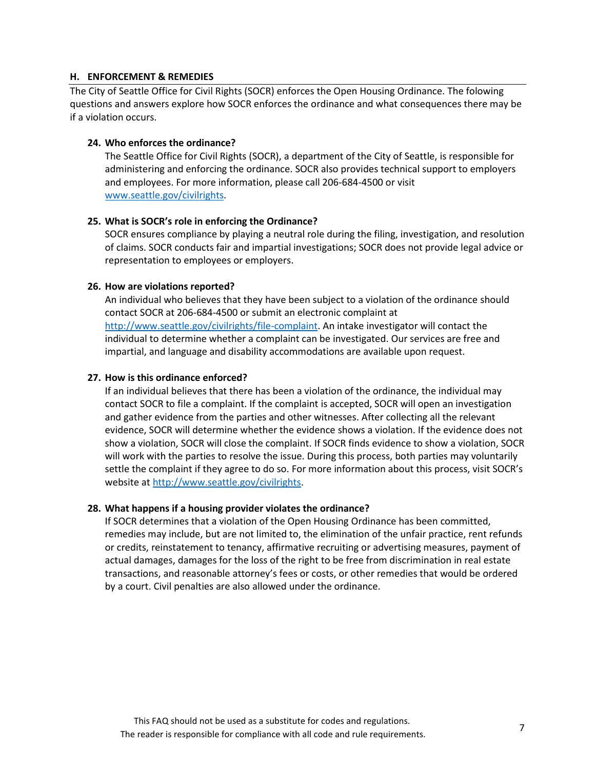#### **H. ENFORCEMENT & REMEDIES**

The City of Seattle Office for Civil Rights (SOCR) enforces the Open Housing Ordinance. The folowing questions and answers explore how SOCR enforces the ordinance and what consequences there may be if a violation occurs.

#### **24. Who enforces the ordinance?**

The Seattle Office for Civil Rights (SOCR), a department of the City of Seattle, is responsible for administering and enforcing the ordinance. SOCR also provides technical support to employers and employees. For more information, please call 206-684-4500 or visit [www.seattle.gov/civilrights.](http://www.seattle.gov/civilrights)

#### **25. What is SOCR's role in enforcing the Ordinance?**

SOCR ensures compliance by playing a neutral role during the filing, investigation, and resolution of claims. SOCR conducts fair and impartial investigations; SOCR does not provide legal advice or representation to employees or employers.

#### **26. How are violations reported?**

An individual who believes that they have been subject to a violation of the ordinance should contact SOCR at 206-684-4500 or submit an electronic complaint at [http://www.seattle.gov/civilrights/file-complaint.](http://www.seattle.gov/civilrights/file-complaint) An intake investigator will contact the individual to determine whether a complaint can be investigated. Our services are free and impartial, and language and disability accommodations are available upon request.

#### **27. How is this ordinance enforced?**

If an individual believes that there has been a violation of the ordinance, the individual may contact SOCR to file a complaint. If the complaint is accepted, SOCR will open an investigation and gather evidence from the parties and other witnesses. After collecting all the relevant evidence, SOCR will determine whether the evidence shows a violation. If the evidence does not show a violation, SOCR will close the complaint. If SOCR finds evidence to show a violation, SOCR will work with the parties to resolve the issue. During this process, both parties may voluntarily settle the complaint if they agree to do so. For more information about this process, visit SOCR's website at [http://www.seattle.gov/civilrights.](http://www.seattle.gov/civilrights)

#### **28. What happens if a housing provider violates the ordinance?**

If SOCR determines that a violation of the Open Housing Ordinance has been committed, remedies may include, but are not limited to, the elimination of the unfair practice, rent refunds or credits, reinstatement to tenancy, affirmative recruiting or advertising measures, payment of actual damages, damages for the loss of the right to be free from discrimination in real estate transactions, and reasonable attorney's fees or costs, or other remedies that would be ordered by a court. Civil penalties are also allowed under the ordinance.